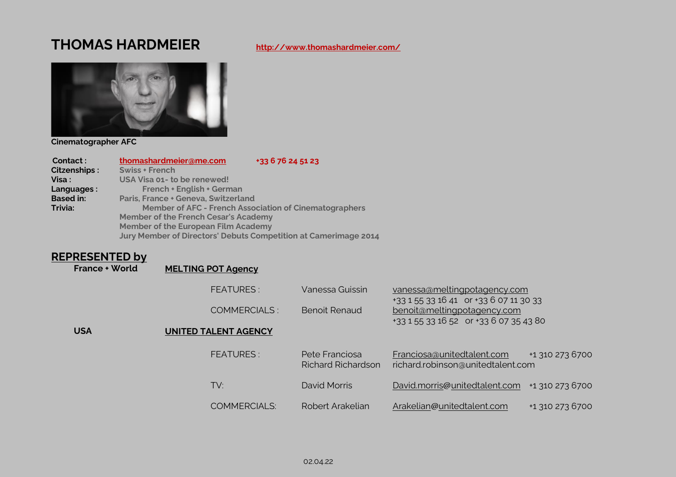### **THOMAS HARDMEIER <http://www.thomashardmeier.com/>**



**Cinematographer AFC**

 **Contact : [thomashardmeier@me.com](mailto:thomashardmeier@me.com) +33 6 76 24 51 23**

| Citzenships:     | <b>Swiss + French</b>                                           |
|------------------|-----------------------------------------------------------------|
| Visa :           | USA Visa 01- to be renewed!                                     |
| Languages:       | French + English + German                                       |
| <b>Based in:</b> | Paris, France + Geneva, Switzerland                             |
| Trivia:          | <b>Member of AFC - French Association of Cinematographers</b>   |
|                  | <b>Member of the French Cesar's Academy</b>                     |
|                  | <b>Member of the European Film Academy</b>                      |
|                  | Jury Member of Directors' Debuts Competition at Camerimage 2014 |

## **REPRESENTED by**<br>France + World

**[MELTING POT Agency](mailto:MELTING%20POT%20Agency)** 

|            | <b>FEATURES:</b>            | Vanessa Guissin                             | vanessa@meltingpotagency.com<br>+33 1 55 33 16 41 or +33 6 07 11 30 33 |                 |
|------------|-----------------------------|---------------------------------------------|------------------------------------------------------------------------|-----------------|
|            | COMMERCIALS:                | <b>Benoit Renaud</b>                        | benoit@meltingpotagency.com<br>+33 1 55 33 16 52 or +33 6 07 35 43 80  |                 |
| <b>USA</b> | <b>UNITED TALENT AGENCY</b> |                                             |                                                                        |                 |
|            | <b>FEATURES:</b>            | Pete Franciosa<br><b>Richard Richardson</b> | Franciosa@unitedtalent.com<br>richard.robinson@unitedtalent.com        | +1 310 273 6700 |
|            | TV:                         | David Morris                                | David.morris@unitedtalent.com                                          | +1 310 273 6700 |
|            | <b>COMMERCIALS:</b>         | Robert Arakelian                            | Arakelian@unitedtalent.com                                             | +1 310 273 6700 |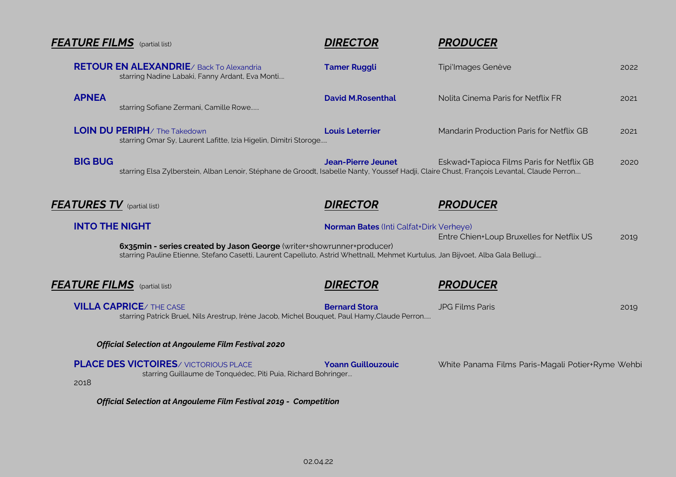|                                   | <b>FEATURE FILMS</b> (partial list)                                                                                                                                                                      | <b>DIRECTOR</b>                                | <b>PRODUCER</b>                                   |      |
|-----------------------------------|----------------------------------------------------------------------------------------------------------------------------------------------------------------------------------------------------------|------------------------------------------------|---------------------------------------------------|------|
|                                   | <b>RETOUR EN ALEXANDRIE</b> / Back To Alexandria<br>starring Nadine Labaki, Fanny Ardant, Eva Monti                                                                                                      | <b>Tamer Ruggli</b>                            | Tipi'lmages Genève                                | 2022 |
| <b>APNEA</b>                      | starring Sofiane Zermani, Camille Rowe                                                                                                                                                                   | <b>David M.Rosenthal</b>                       | Nolita Cinema Paris for Netflix FR                | 2021 |
|                                   | <b>LOIN DU PERIPH/ The Takedown</b><br>starring Omar Sy, Laurent Lafitte, Izia Higelin, Dimitri Storoge                                                                                                  | <b>Louis Leterrier</b>                         | Mandarin Production Paris for Netflix GB          | 2021 |
| <b>BIG BUG</b>                    | starring Elsa Zylberstein, Alban Lenoir, Stéphane de Groodt, Isabelle Nanty, Youssef Hadji, Claire Chust, François Levantal, Claude Perron                                                               | <b>Jean-Pierre Jeunet</b>                      | Eskwad+Tapioca Films Paris for Netflix GB         | 2020 |
| <b>FEATURES TV</b> (partial list) |                                                                                                                                                                                                          | <b>DIRECTOR</b>                                | <b>PRODUCER</b>                                   |      |
| <b>INTO THE NIGHT</b>             | 6x35min - series created by Jason George (writer+showrunner+producer)<br>starring Pauline Etienne, Stefano Casetti, Laurent Capelluto, Astrid Whettnall, Mehmet Kurtulus, Jan Bijvoet, Alba Gala Bellugi | <b>Norman Bates (Inti Calfat+Dirk Verheye)</b> | Entre Chien+Loup Bruxelles for Netflix US         | 2019 |
|                                   | <b>FEATURE FILMS</b> (partial list)                                                                                                                                                                      | <b>DIRECTOR</b>                                | <b>PRODUCER</b>                                   |      |
|                                   | <b>VILLA CAPRICE/ THE CASE</b><br>starring Patrick Bruel, Nils Arestrup, Irène Jacob, Michel Bouquet, Paul Hamy, Claude Perron                                                                           | <b>Bernard Stora</b>                           | <b>JPG Films Paris</b>                            | 2019 |
|                                   | <b>Official Selection at Angouleme Film Festival 2020</b>                                                                                                                                                |                                                |                                                   |      |
| 2018                              | <b>PLACE DES VICTOIRES/ VICTORIOUS PLACE</b><br>starring Guillaume de Tonquédec, Piti Puia, Richard Bohringer                                                                                            | <b>Yoann Guillouzouic</b>                      | White Panama Films Paris-Magali Potier+Ryme Wehbi |      |
|                                   | <b>Official Selection at Angouleme Film Festival 2019 - Competition</b>                                                                                                                                  |                                                |                                                   |      |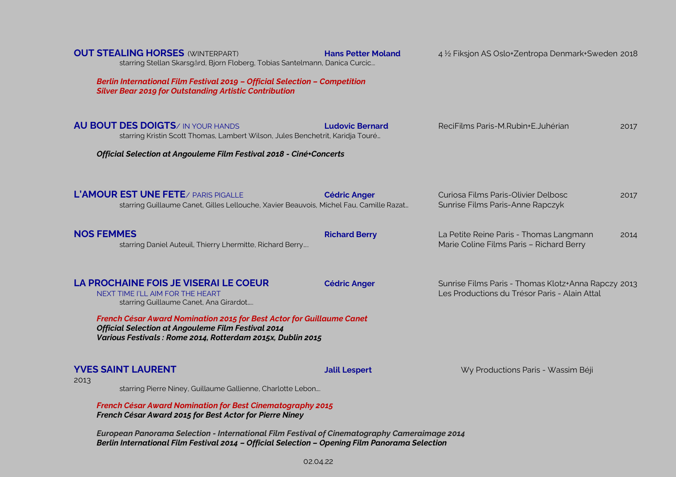| <b>OUT STEALING HORSES (WINTERPART)</b><br>starring Stellan Skarsgård, Bjorn Floberg, Tobias Santelmann, Danica Curcic<br>Berlin International Film Festival 2019 - Official Selection - Competition<br><b>Silver Bear 2019 for Outstanding Artistic Contribution</b> | <b>Hans Petter Moland</b> | 4 1/2 Fiksjon AS Oslo+Zentropa Denmark+Sweden 2018                                                   |      |  |
|-----------------------------------------------------------------------------------------------------------------------------------------------------------------------------------------------------------------------------------------------------------------------|---------------------------|------------------------------------------------------------------------------------------------------|------|--|
| <b>AU BOUT DES DOIGTS/ IN YOUR HANDS</b><br>starring Kristin Scott Thomas, Lambert Wilson, Jules Benchetrit, Karidja Touré<br>Official Selection at Angouleme Film Festival 2018 - Ciné+Concerts                                                                      | <b>Ludovic Bernard</b>    | ReciFilms Paris-M.Rubin+E.Juhérian                                                                   | 2017 |  |
| L'AMOUR EST UNE FETE / PARIS PIGALLE<br>starring Guillaume Canet, Gilles Lellouche, Xavier Beauvois, Michel Fau, Camille Razat                                                                                                                                        | <b>Cédric Anger</b>       | Curiosa Films Paris-Olivier Delbosc<br>Sunrise Films Paris-Anne Rapczyk                              | 2017 |  |
| <b>NOS FEMMES</b><br>starring Daniel Auteuil, Thierry Lhermitte, Richard Berry                                                                                                                                                                                        | <b>Richard Berry</b>      | La Petite Reine Paris - Thomas Langmann<br>Marie Coline Films Paris - Richard Berry                  | 2014 |  |
| LA PROCHAINE FOIS JE VISERAI LE COEUR<br>NEXT TIME I'LL AIM FOR THE HEART<br>starring Guillaume Canet, Ana Girardot                                                                                                                                                   | <b>Cédric Anger</b>       | Sunrise Films Paris - Thomas Klotz+Anna Rapczy 2013<br>Les Productions du Trésor Paris - Alain Attal |      |  |
| French César Award Nomination 2015 for Best Actor for Guillaume Canet<br><b>Official Selection at Angouleme Film Festival 2014</b><br>Various Festivals: Rome 2014, Rotterdam 2015x, Dublin 2015                                                                      |                           |                                                                                                      |      |  |
| <b>YVES SAINT LAURENT</b><br>2013<br>starring Pierre Niney, Guillaume Gallienne, Charlotte Lebon                                                                                                                                                                      | <b>Jalil Lespert</b>      | Wy Productions Paris - Wassim Béji                                                                   |      |  |
| <b>French César Award Nomination for Best Cinematography 2015</b><br>French César Award 2015 for Best Actor for Pierre Niney                                                                                                                                          |                           |                                                                                                      |      |  |

*European Panorama Selection - International Film Festival of Cinematography Cameraimage 2014 Berlin International Film Festival 2014 – Official Selection – Opening Film Panorama Selection*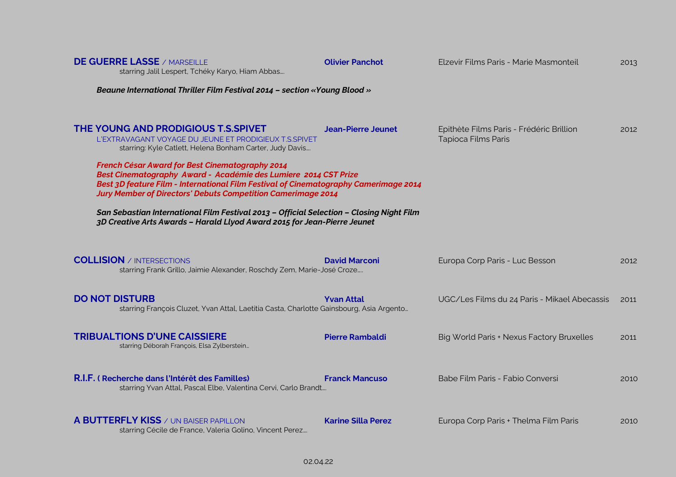| <b>DE GUERRE LASSE / MARSEILLE</b><br>starring Jalil Lespert, Tchéky Karyo, Hiam Abbas                                                                                                                                                                                                                                                                                                                                                                                                                                                                                                                                 | <b>Olivier Panchot</b>    | Elzevir Films Paris - Marie Masmonteil                          | 2013 |
|------------------------------------------------------------------------------------------------------------------------------------------------------------------------------------------------------------------------------------------------------------------------------------------------------------------------------------------------------------------------------------------------------------------------------------------------------------------------------------------------------------------------------------------------------------------------------------------------------------------------|---------------------------|-----------------------------------------------------------------|------|
| Beaune International Thriller Film Festival 2014 - section «Young Blood »                                                                                                                                                                                                                                                                                                                                                                                                                                                                                                                                              |                           |                                                                 |      |
| THE YOUNG AND PRODIGIOUS T.S.SPIVET<br>L'EXTRAVAGANT VOYAGE DU JEUNE ET PRODIGIEUX T.S.SPIVET<br>starring: Kyle Catlett, Helena Bonham Carter, Judy Davis<br>French César Award for Best Cinematography 2014<br>Best Cinematography Award - Académie des Lumiere 2014 CST Prize<br>Best 3D feature Film - International Film Festival of Cinematography Camerimage 2014<br><b>Jury Member of Directors' Debuts Competition Camerimage 2014</b><br>San Sebastian International Film Festival 2013 - Official Selection - Closing Night Film<br>3D Creative Arts Awards - Harald Llyod Award 2015 for Jean-Pierre Jeunet | <b>Jean-Pierre Jeunet</b> | Epithète Films Paris - Frédéric Brillion<br>Tapioca Films Paris | 2012 |
| <b>COLLISION</b> / INTERSECTIONS<br>starring Frank Grillo, Jaimie Alexander, Roschdy Zem, Marie-José Croze                                                                                                                                                                                                                                                                                                                                                                                                                                                                                                             | <b>David Marconi</b>      | Europa Corp Paris - Luc Besson                                  | 2012 |
| <b>DO NOT DISTURB</b><br>starring François Cluzet, Yvan Attal, Laetitia Casta, Charlotte Gainsbourg, Asia Argento                                                                                                                                                                                                                                                                                                                                                                                                                                                                                                      | <b>Yvan Attal</b>         | UGC/Les Films du 24 Paris - Mikael Abecassis                    | 2011 |
| <b>TRIBUALTIONS D'UNE CAISSIERE</b><br>starring Déborah François, Elsa Zylberstein                                                                                                                                                                                                                                                                                                                                                                                                                                                                                                                                     | <b>Pierre Rambaldi</b>    | Big World Paris + Nexus Factory Bruxelles                       | 2011 |
| R.I.F. (Recherche dans l'Intérêt des Familles)<br>starring Yvan Attal, Pascal Elbe, Valentina Cervi, Carlo Brandt                                                                                                                                                                                                                                                                                                                                                                                                                                                                                                      | <b>Franck Mancuso</b>     | Babe Film Paris - Fabio Conversi                                | 2010 |
| <b>A BUTTERFLY KISS</b> / UN BAISER PAPILLON<br>starring Cécile de France, Valeria Golino, Vincent Perez                                                                                                                                                                                                                                                                                                                                                                                                                                                                                                               | <b>Karine Silla Perez</b> | Europa Corp Paris + Thelma Film Paris                           | 2010 |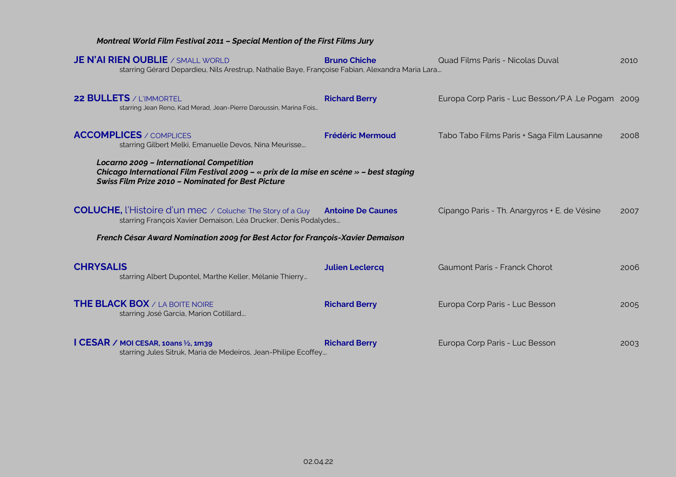#### *Montreal World Film Festival 2011 – Special Mention of the First Films Jury*

| <b>JE N'AI RIEN OUBLIE</b> / SMALL WORLD<br>starring Gérard Depardieu, Nils Arestrup, Nathalie Baye, Françoise Fabian, Alexandra Maria Lara                                                            | <b>Bruno Chiche</b>     | Quad Films Paris - Nicolas Duval                 | 2010 |  |
|--------------------------------------------------------------------------------------------------------------------------------------------------------------------------------------------------------|-------------------------|--------------------------------------------------|------|--|
| <b>22 BULLETS / L'IMMORTEL</b><br>starring Jean Reno, Kad Merad, Jean-Pierre Daroussin, Marina Fois                                                                                                    | <b>Richard Berry</b>    | Europa Corp Paris - Luc Besson/P.A.Le Pogam 2009 |      |  |
| <b>ACCOMPLICES</b> / COMPLICES<br>starring Gilbert Melki, Emanuelle Devos, Nina Meurisse                                                                                                               | <b>Frédéric Mermoud</b> | Tabo Tabo Films Paris + Saga Film Lausanne       | 2008 |  |
| <b>Locarno 2009 - International Competition</b><br>Chicago International Film Festival 2009 - « prix de la mise en scène » - best staging<br><b>Swiss Film Prize 2010 - Nominated for Best Picture</b> |                         |                                                  |      |  |
| <b>COLUCHE, l'Histoire d'un mec</b> / Coluche: The Story of a Guy <b>Antoine De Caunes</b><br>starring François Xavier Demaison, Léa Drucker, Denis Podalydes                                          |                         | Cipango Paris - Th. Anargyros + E. de Vésine     | 2007 |  |
| French César Award Nomination 2009 for Best Actor for François-Xavier Demaison                                                                                                                         |                         |                                                  |      |  |
| <b>CHRYSALIS</b><br>starring Albert Dupontel, Marthe Keller, Mélanie Thierry                                                                                                                           | <b>Julien Leclercq</b>  | Gaumont Paris - Franck Chorot                    | 2006 |  |
| <b>THE BLACK BOX</b> / LA BOITE NOIRE<br>starring José Garcia, Marion Cotillard                                                                                                                        | <b>Richard Berry</b>    | Europa Corp Paris - Luc Besson                   | 2005 |  |
| I CESAR / MOI CESAR, 10ans $\frac{1}{2}$ , 1m39<br>starring Jules Sitruk, Maria de Medeiros, Jean-Philipe Ecoffey                                                                                      | <b>Richard Berry</b>    | Europa Corp Paris - Luc Besson                   | 2003 |  |

02.04.22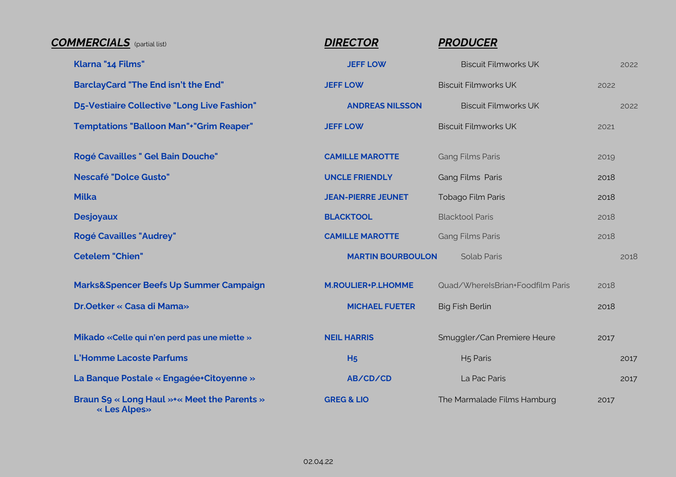| <b>COMMERCIALS</b> (partial list)                           | <b>DIRECTOR</b>           | <b>PRODUCER</b>                  |      |
|-------------------------------------------------------------|---------------------------|----------------------------------|------|
| Klarna "14 Films"                                           | <b>JEFF LOW</b>           | <b>Biscuit Filmworks UK</b>      | 2022 |
| <b>BarclayCard "The End isn't the End"</b>                  | <b>JEFF LOW</b>           | <b>Biscuit Filmworks UK</b>      | 2022 |
| <b>D5-Vestiaire Collective "Long Live Fashion"</b>          | <b>ANDREAS NILSSON</b>    | <b>Biscuit Filmworks UK</b>      | 2022 |
| <b>Temptations "Balloon Man"+"Grim Reaper"</b>              | <b>JEFF LOW</b>           | <b>Biscuit Filmworks UK</b>      | 2021 |
| Rogé Cavailles " Gel Bain Douche"                           | <b>CAMILLE MAROTTE</b>    | <b>Gang Films Paris</b>          | 2019 |
| <b>Nescafé "Dolce Gusto"</b>                                | <b>UNCLE FRIENDLY</b>     | Gang Films Paris                 | 2018 |
| <b>Milka</b>                                                | <b>JEAN-PIERRE JEUNET</b> | Tobago Film Paris                | 2018 |
| <b>Desjoyaux</b>                                            | <b>BLACKTOOL</b>          | <b>Blacktool Paris</b>           | 2018 |
| <b>Rogé Cavailles "Audrey"</b>                              | <b>CAMILLE MAROTTE</b>    | <b>Gang Films Paris</b>          | 2018 |
| <b>Cetelem "Chien"</b>                                      | <b>MARTIN BOURBOULON</b>  | <b>Solab Paris</b>               | 2018 |
| Marks&Spencer Beefs Up Summer Campaign                      | <b>M.ROULIER+P.LHOMME</b> | Quad/WhereIsBrian+Foodfilm Paris | 2018 |
| Dr.Oetker « Casa di Mama»                                   | <b>MICHAEL FUETER</b>     | <b>Big Fish Berlin</b>           | 2018 |
| Mikado «Celle qui n'en perd pas une miette »                | <b>NEIL HARRIS</b>        | Smuggler/Can Premiere Heure      | 2017 |
| <b>L'Homme Lacoste Parfums</b>                              | H <sub>5</sub>            | H <sub>5</sub> Paris             | 2017 |
| La Banque Postale « Engagée+Citoyenne »                     | AB/CD/CD                  | La Pac Paris                     | 2017 |
| Braun S9 « Long Haul »+« Meet the Parents »<br>« Les Alpes» | <b>GREG &amp; LIO</b>     | The Marmalade Films Hamburg      | 2017 |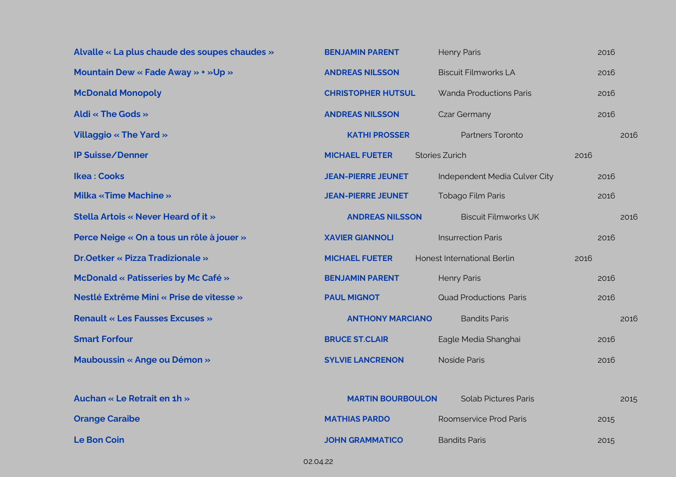| Alvalle « La plus chaude des soupes chaudes » | <b>BENJAMIN PARENT</b>    | <b>Henry Paris</b>             | 2016 |
|-----------------------------------------------|---------------------------|--------------------------------|------|
| Mountain Dew « Fade Away » + »Up »            | <b>ANDREAS NILSSON</b>    | <b>Biscuit Filmworks LA</b>    | 2016 |
| <b>McDonald Monopoly</b>                      | <b>CHRISTOPHER HUTSUL</b> | <b>Wanda Productions Paris</b> | 2016 |
| Aldi « The Gods »                             | <b>ANDREAS NILSSON</b>    | <b>Czar Germany</b>            | 2016 |
| <b>Villaggio « The Yard »</b>                 | <b>KATHI PROSSER</b>      | Partners Toronto               | 2016 |
| <b>IP Suisse/Denner</b>                       | <b>MICHAEL FUETER</b>     | <b>Stories Zurich</b>          | 2016 |
| <b>Ikea: Cooks</b>                            | <b>JEAN-PIERRE JEUNET</b> | Independent Media Culver City  | 2016 |
| <b>Milka «Time Machine »</b>                  | <b>JEAN-PIERRE JEUNET</b> | Tobago Film Paris              | 2016 |
| Stella Artois « Never Heard of it »           | <b>ANDREAS NILSSON</b>    | <b>Biscuit Filmworks UK</b>    | 2016 |
| Perce Neige « On a tous un rôle à jouer »     | <b>XAVIER GIANNOLI</b>    | <b>Insurrection Paris</b>      | 2016 |
| <b>Dr.Oetker « Pizza Tradizionale »</b>       | <b>MICHAEL FUETER</b>     | Honest International Berlin    | 2016 |
| McDonald « Patisseries by Mc Café »           | <b>BENJAMIN PARENT</b>    | <b>Henry Paris</b>             | 2016 |
| Nestlé Extrême Mini « Prise de vitesse »      | <b>PAUL MIGNOT</b>        | <b>Quad Productions Paris</b>  | 2016 |
| <b>Renault « Les Fausses Excuses »</b>        | <b>ANTHONY MARCIANO</b>   | <b>Bandits Paris</b>           | 2016 |
| <b>Smart Forfour</b>                          | <b>BRUCE ST.CLAIR</b>     | Eagle Media Shanghai           | 2016 |
| <b>Mauboussin « Ange ou Démon »</b>           | <b>SYLVIE LANCRENON</b>   | <b>Noside Paris</b>            | 2016 |
|                                               |                           |                                |      |
| Auchan « Le Retrait en 1h »                   | <b>MARTIN BOURBOULON</b>  | <b>Solab Pictures Paris</b>    | 2015 |
| <b>Orange Caraibe</b>                         | <b>MATHIAS PARDO</b>      | Roomservice Prod Paris         | 2015 |
| <b>Le Bon Coin</b>                            | <b>JOHN GRAMMATICO</b>    | <b>Bandits Paris</b>           | 2015 |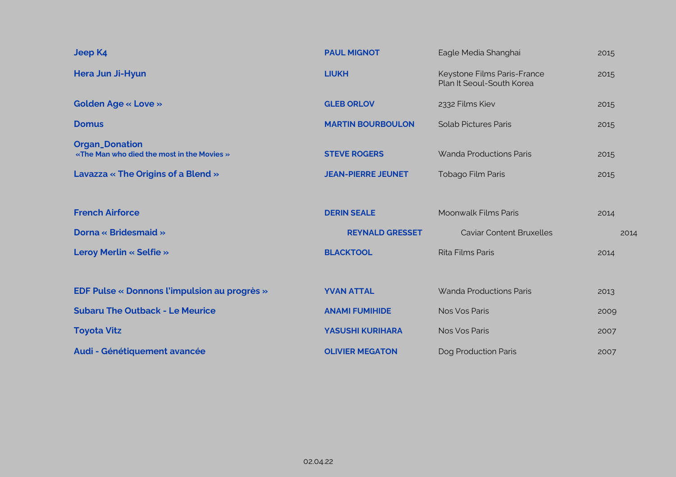| <b>Jeep K4</b>                                                      | <b>PAUL MIGNOT</b>        | Eagle Media Shanghai                                     | 2015 |
|---------------------------------------------------------------------|---------------------------|----------------------------------------------------------|------|
| Hera Jun Ji-Hyun                                                    | <b>LIUKH</b>              | Keystone Films Paris-France<br>Plan It Seoul-South Korea | 2015 |
| <b>Golden Age « Love »</b>                                          | <b>GLEB ORLOV</b>         | 2332 Films Kiev                                          | 2015 |
| <b>Domus</b>                                                        | <b>MARTIN BOURBOULON</b>  | <b>Solab Pictures Paris</b>                              | 2015 |
| <b>Organ_Donation</b><br>«The Man who died the most in the Movies » | <b>STEVE ROGERS</b>       | Wanda Productions Paris                                  | 2015 |
| Lavazza « The Origins of a Blend »                                  | <b>JEAN-PIERRE JEUNET</b> | Tobago Film Paris                                        | 2015 |
|                                                                     |                           |                                                          |      |
| <b>French Airforce</b>                                              | <b>DERIN SEALE</b>        | Moonwalk Films Paris                                     | 2014 |
| Dorna « Bridesmaid »                                                | <b>REYNALD GRESSET</b>    | <b>Caviar Content Bruxelles</b>                          | 2014 |
| <b>Leroy Merlin « Selfie »</b>                                      | <b>BLACKTOOL</b>          | Rita Films Paris                                         | 2014 |
|                                                                     |                           |                                                          |      |
| <b>EDF Pulse « Donnons l'impulsion au progrès »</b>                 | <b>YVAN ATTAL</b>         | <b>Wanda Productions Paris</b>                           | 2013 |
| <b>Subaru The Outback - Le Meurice</b>                              | <b>ANAMI FUMIHIDE</b>     | Nos Vos Paris                                            | 2009 |
| <b>Toyota Vitz</b>                                                  | <b>YASUSHI KURIHARA</b>   | Nos Vos Paris                                            | 2007 |
| Audi - Génétiquement avancée                                        | <b>OLIVIER MEGATON</b>    | Dog Production Paris                                     | 2007 |